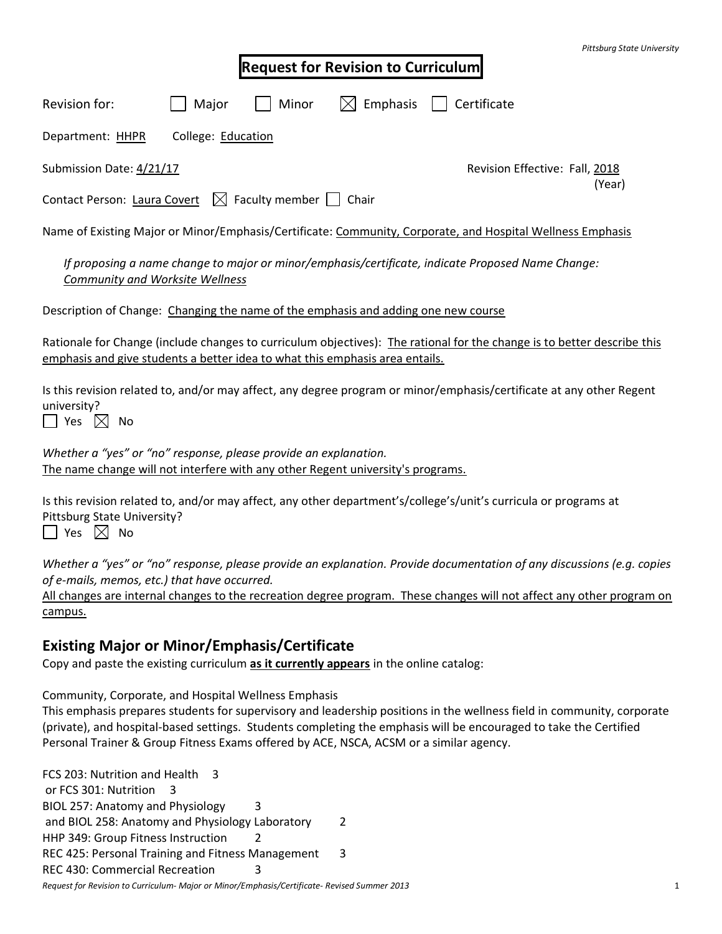|                                                                                                                                                     |                    |       |                                           | Pittsburg State Universit                                                                                                                                                                                                                       |  |
|-----------------------------------------------------------------------------------------------------------------------------------------------------|--------------------|-------|-------------------------------------------|-------------------------------------------------------------------------------------------------------------------------------------------------------------------------------------------------------------------------------------------------|--|
|                                                                                                                                                     |                    |       | <b>Request for Revision to Curriculum</b> |                                                                                                                                                                                                                                                 |  |
| Revision for:                                                                                                                                       | Major              | Minor | Emphasis                                  | Certificate                                                                                                                                                                                                                                     |  |
| Department: HHPR                                                                                                                                    | College: Education |       |                                           |                                                                                                                                                                                                                                                 |  |
| Submission Date: 4/21/17                                                                                                                            |                    |       |                                           | Revision Effective: Fall, 2018<br>(Year)                                                                                                                                                                                                        |  |
| Contact Person: Laura Covert $\boxtimes$ Faculty member $\Box$ Chair                                                                                |                    |       |                                           |                                                                                                                                                                                                                                                 |  |
|                                                                                                                                                     |                    |       |                                           | Name of Existing Major or Minor/Emphasis/Certificate: Community, Corporate, and Hospital Wellness Emphasis                                                                                                                                      |  |
| Community and Worksite Wellness                                                                                                                     |                    |       |                                           | If proposing a name change to major or minor/emphasis/certificate, indicate Proposed Name Change:                                                                                                                                               |  |
| Description of Change: Changing the name of the emphasis and adding one new course                                                                  |                    |       |                                           |                                                                                                                                                                                                                                                 |  |
| emphasis and give students a better idea to what this emphasis area entails.                                                                        |                    |       |                                           | Rationale for Change (include changes to curriculum objectives): The rational for the change is to better describe this                                                                                                                         |  |
| university?<br>  Yes $\boxtimes$ No                                                                                                                 |                    |       |                                           | Is this revision related to, and/or may affect, any degree program or minor/emphasis/certificate at any other Regent                                                                                                                            |  |
| Whether a "yes" or "no" response, please provide an explanation.<br>The name change will not interfere with any other Regent university's programs. |                    |       |                                           |                                                                                                                                                                                                                                                 |  |
| Pittsburg State University?<br>$\Box$ Yes $\boxtimes$ No                                                                                            |                    |       |                                           | Is this revision related to, and/or may affect, any other department's/college's/unit's curricula or programs at                                                                                                                                |  |
| of e-mails, memos, etc.) that have occurred.<br>campus.                                                                                             |                    |       |                                           | Whether a "yes" or "no" response, please provide an explanation. Provide documentation of any discussions (e.g. copies<br>All changes are internal changes to the recreation degree program. These changes will not affect any other program on |  |
| <b>Existing Major or Minor/Emphasis/Certificate</b>                                                                                                 |                    |       |                                           |                                                                                                                                                                                                                                                 |  |
| Copy and paste the existing curriculum as it currently appears in the online catalog:                                                               |                    |       |                                           |                                                                                                                                                                                                                                                 |  |

Community, Corporate, and Hospital Wellness Emphasis

This emphasis prepares students for supervisory and leadership positions in the wellness field in community, corporate (private), and hospital-based settings. Students completing the emphasis will be encouraged to take the Certified Personal Trainer & Group Fitness Exams offered by ACE, NSCA, ACSM or a similar agency.

*Request for Revision to Curriculum- Major or Minor/Emphasis/Certificate- Revised Summer 2013* 1 FCS 203: Nutrition and Health 3 or FCS 301: Nutrition 3 BIOL 257: Anatomy and Physiology 3 and BIOL 258: Anatomy and Physiology Laboratory 2 HHP 349: Group Fitness Instruction 2 REC 425: Personal Training and Fitness Management 3 REC 430: Commercial Recreation 3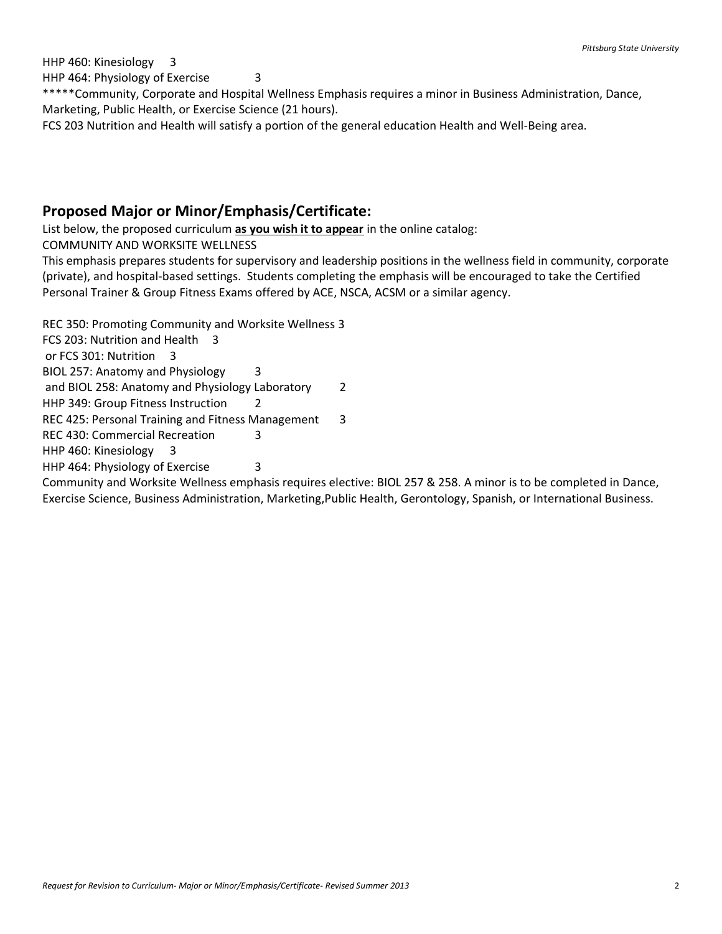HHP 460: Kinesiology 3 HHP 464: Physiology of Exercise 3 \*\*\*\*\*Community, Corporate and Hospital Wellness Emphasis requires a minor in Business Administration, Dance, Marketing, Public Health, or Exercise Science (21 hours). FCS 203 Nutrition and Health will satisfy a portion of the general education Health and Well-Being area.

## **Proposed Major or Minor/Emphasis/Certificate:**

List below, the proposed curriculum **as you wish it to appear** in the online catalog:

COMMUNITY AND WORKSITE WELLNESS

This emphasis prepares students for supervisory and leadership positions in the wellness field in community, corporate (private), and hospital-based settings. Students completing the emphasis will be encouraged to take the Certified Personal Trainer & Group Fitness Exams offered by ACE, NSCA, ACSM or a similar agency.

REC 350: Promoting Community and Worksite Wellness 3

FCS 203: Nutrition and Health 3

or FCS 301: Nutrition 3

BIOL 257: Anatomy and Physiology 3

and BIOL 258: Anatomy and Physiology Laboratory 2

HHP 349: Group Fitness Instruction 2

REC 425: Personal Training and Fitness Management 3

REC 430: Commercial Recreation 3

HHP 460: Kinesiology 3

HHP 464: Physiology of Exercise 3

Community and Worksite Wellness emphasis requires elective: BIOL 257 & 258. A minor is to be completed in Dance, Exercise Science, Business Administration, Marketing,Public Health, Gerontology, Spanish, or International Business.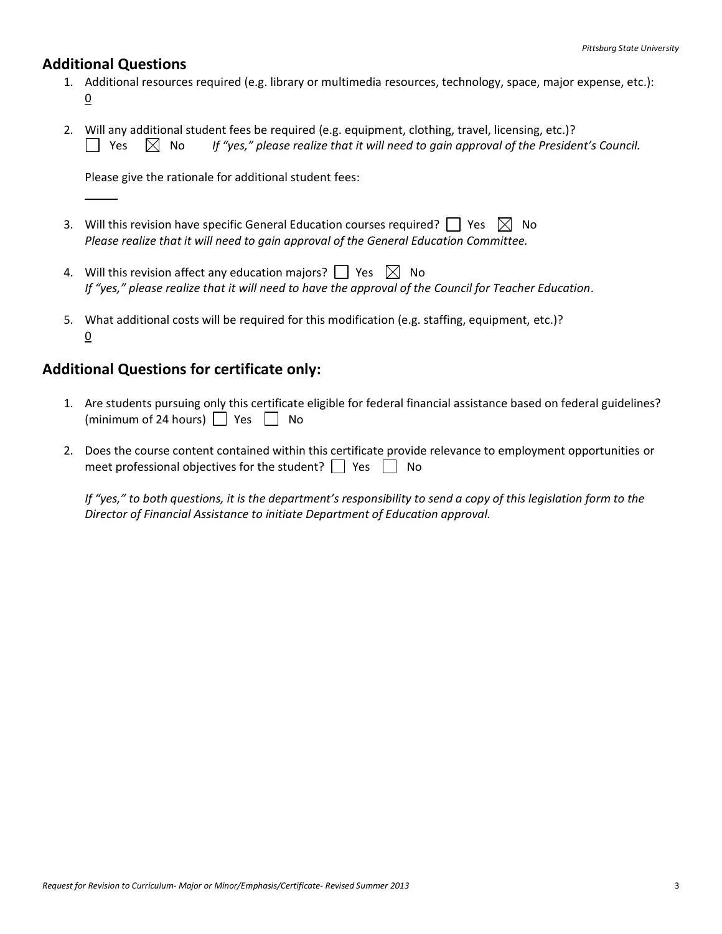## **Additional Questions**

- 1. Additional resources required (e.g. library or multimedia resources, technology, space, major expense, etc.): 0
- 2. Will any additional student fees be required (e.g. equipment, clothing, travel, licensing, etc.)?  $\Box$  Yes  $\Box$  No If "yes," please realize that it will need to gain approval of the President's Council.

Please give the rationale for additional student fees:

- 3. Will this revision have specific General Education courses required?  $\Box$  Yes  $\boxtimes$  No *Please realize that it will need to gain approval of the General Education Committee.*
- 4. Will this revision affect any education majors?  $\Box$  Yes  $\boxtimes$  No *If "yes," please realize that it will need to have the approval of the Council for Teacher Education*.
- 5. What additional costs will be required for this modification (e.g. staffing, equipment, etc.)? 0

## **Additional Questions for certificate only:**

- 1. Are students pursuing only this certificate eligible for federal financial assistance based on federal guidelines? (minimum of 24 hours)  $\Box$  Yes  $\Box$  No
- 2. Does the course content contained within this certificate provide relevance to employment opportunities or meet professional objectives for the student?  $\Box$  Yes  $\Box$  No

*If "yes," to both questions, it is the department's responsibility to send a copy of this legislation form to the Director of Financial Assistance to initiate Department of Education approval.*